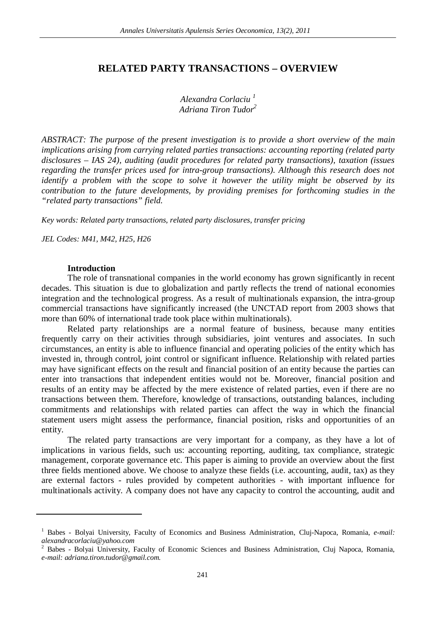# **RELATED PARTY TRANSACTIONS – OVERVIEW**

*Alexandra Corlaciu <sup>1</sup> Adriana Tiron Tudor<sup>2</sup>*

*ABSTRACT: The purpose of the present investigation is to provide a short overview of the main implications arising from carrying related parties transactions: accounting reporting (related party disclosures – IAS 24), auditing (audit procedures for related party transactions), taxation (issues regarding the transfer prices used for intra-group transactions). Although this research does not identify a problem with the scope to solve it however the utility might be observed by its contribution to the future developments, by providing premises for forthcoming studies in the "related party transactions" field.*

*Key words: Related party transactions, related party disclosures, transfer pricing*

*JEL Codes: M41, M42, H25, H26*

### **Introduction**

 $\overline{a}$ 

The role of transnational companies in the world economy has grown significantly in recent decades. This situation is due to globalization and partly reflects the trend of national economies integration and the technological progress. As a result of multinationals expansion, the intra-group commercial transactions have significantly increased (the UNCTAD report from 2003 shows that more than 60% of international trade took place within multinationals).

Related party relationships are a normal feature of business, because many entities frequently carry on their activities through subsidiaries, joint ventures and associates. In such circumstances, an entity is able to influence financial and operating policies of the entity which has invested in, through control, joint control or significant influence. Relationship with related parties may have significant effects on the result and financial position of an entity because the parties can enter into transactions that independent entities would not be. Moreover, financial position and results of an entity may be affected by the mere existence of related parties, even if there are no transactions between them. Therefore, knowledge of transactions, outstanding balances, including commitments and relationships with related parties can affect the way in which the financial statement users might assess the performance, financial position, risks and opportunities of an entity.

The related party transactions are very important for a company, as they have a lot of implications in various fields, such us: accounting reporting, auditing, tax compliance, strategic management, corporate governance etc. This paper is aiming to provide an overview about the first three fields mentioned above. We choose to analyze these fields (i.e. accounting, audit, tax) as they are external factors - rules provided by competent authorities - with important influence for multinationals activity. A company does not have any capacity to control the accounting, audit and

<sup>&</sup>lt;sup>1</sup> Babes - Bolyai University, Faculty of Economics and Business Administration, Cluj-Napoca, Romania, *e-mail: alexandracorlaciu@yahoo.com*

<sup>2</sup> Babes - Bolyai University, Faculty of Economic Sciences and Business Administration, Cluj Napoca, Romania, *e-mail: adriana.tiron.tudor@gmail.com.*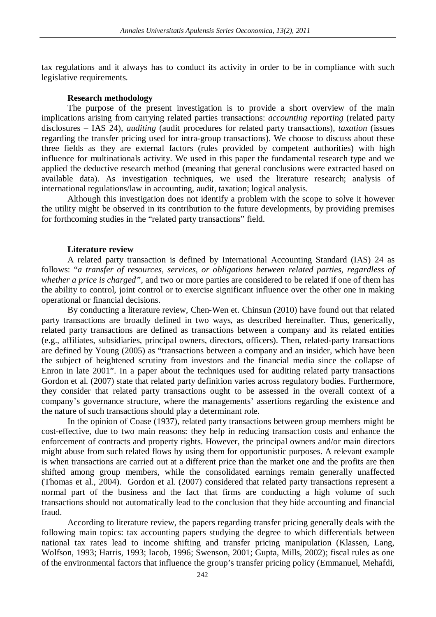tax regulations and it always has to conduct its activity in order to be in compliance with such legislative requirements.

# **Research methodology**

The purpose of the present investigation is to provide a short overview of the main implications arising from carrying related parties transactions: *accounting reporting* (related party disclosures – IAS 24), *auditing* (audit procedures for related party transactions), *taxation* (issues regarding the transfer pricing used for intra-group transactions). We choose to discuss about these three fields as they are external factors (rules provided by competent authorities) with high influence for multinationals activity. We used in this paper the fundamental research type and we applied the deductive research method (meaning that general conclusions were extracted based on available data). As investigation techniques, we used the literature research; analysis of international regulations/law in accounting, audit, taxation; logical analysis.

Although this investigation does not identify a problem with the scope to solve it however the utility might be observed in its contribution to the future developments, by providing premises for forthcoming studies in the "related party transactions" field.

# **Literature review**

A related party transaction is defined by International Accounting Standard (IAS) 24 as follows: "*a transfer of resources, services, or obligations between related parties, regardless of whether a price is charged",* and two or more parties are considered to be related if one of them has the ability to control, joint control or to exercise significant influence over the other one in making operational or financial decisions.

By conducting a literature review, Chen-Wen et. Chinsun (2010) have found out that related party transactions are broadly defined in two ways, as described hereinafter. Thus, generically, related party transactions are defined as transactions between a company and its related entities (e.g., affiliates, subsidiaries, principal owners, directors, officers). Then, related-party transactions are defined by Young (2005) as "transactions between a company and an insider, which have been the subject of heightened scrutiny from investors and the financial media since the collapse of Enron in late 2001". In a paper about the techniques used for auditing related party transactions Gordon et al. (2007) state that related party definition varies across regulatory bodies. Furthermore, they consider that related party transactions ought to be assessed in the overall context of a company's governance structure, where the managements' assertions regarding the existence and the nature of such transactions should play a determinant role.

In the opinion of Coase (1937), related party transactions between group members might be cost-effective, due to two main reasons: they help in reducing transaction costs and enhance the enforcement of contracts and property rights. However, the principal owners and/or main directors might abuse from such related flows by using them for opportunistic purposes. A relevant example is when transactions are carried out at a different price than the market one and the profits are then shifted among group members, while the consolidated earnings remain generally unaffected (Thomas et al., 2004). Gordon et al. (2007) considered that related party transactions represent a normal part of the business and the fact that firms are conducting a high volume of such transactions should not automatically lead to the conclusion that they hide accounting and financial fraud.

According to literature review, the papers regarding transfer pricing generally deals with the following main topics: tax accounting papers studying the degree to which differentials between national tax rates lead to income shifting and transfer pricing manipulation (Klassen, Lang, Wolfson, 1993; Harris, 1993; Iacob, 1996; Swenson, 2001; Gupta, Mills, 2002); fiscal rules as one of the environmental factors that influence the group's transfer pricing policy (Emmanuel, Mehafdi,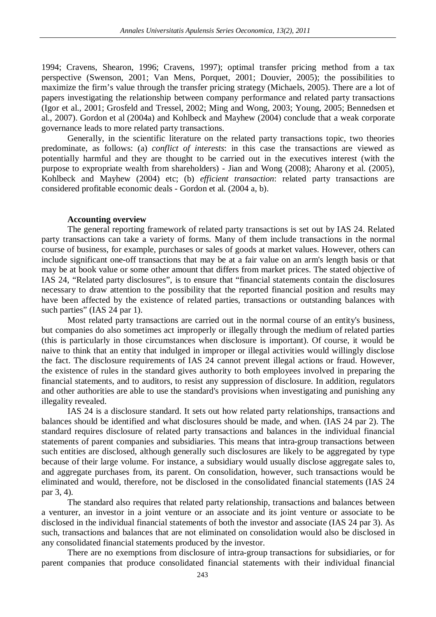1994; Cravens, Shearon, 1996; Cravens, 1997); optimal transfer pricing method from a tax perspective (Swenson, 2001; Van Mens, Porquet, 2001; Douvier, 2005); the possibilities to maximize the firm's value through the transfer pricing strategy (Michaels, 2005). There are a lot of papers investigating the relationship between company performance and related party transactions (Igor et al., 2001; Grosfeld and Tressel, 2002; Ming and Wong, 2003; Young, 2005; Bennedsen et al., 2007). Gordon et al (2004a) and Kohlbeck and Mayhew (2004) conclude that a weak corporate governance leads to more related party transactions.

Generally, in the scientific literature on the related party transactions topic, two theories predominate, as follows: (a) *conflict of interests*: in this case the transactions are viewed as potentially harmful and they are thought to be carried out in the executives interest (with the purpose to expropriate wealth from shareholders) - Jian and Wong (2008); Aharony et al. (2005), Kohlbeck and Mayhew (2004) etc; (b) *efficient transaction*: related party transactions are considered profitable economic deals - Gordon et al. (2004 a, b).

#### **Accounting overview**

The general reporting framework of related party transactions is set out by IAS 24. Related party transactions can take a variety of forms. Many of them include transactions in the normal course of business, for example, purchases or sales of goods at market values. However, others can include significant one-off transactions that may be at a fair value on an arm's length basis or that may be at book value or some other amount that differs from market prices. The stated objective of IAS 24, "Related party disclosures", is to ensure that "financial statements contain the disclosures necessary to draw attention to the possibility that the reported financial position and results may have been affected by the existence of related parties, transactions or outstanding balances with such parties" (IAS 24 par 1).

Most related party transactions are carried out in the normal course of an entity's business, but companies do also sometimes act improperly or illegally through the medium of related parties (this is particularly in those circumstances when disclosure is important). Of course, it would be naive to think that an entity that indulged in improper or illegal activities would willingly disclose the fact. The disclosure requirements of IAS 24 cannot prevent illegal actions or fraud. However, the existence of rules in the standard gives authority to both employees involved in preparing the financial statements, and to auditors, to resist any suppression of disclosure. In addition, regulators and other authorities are able to use the standard's provisions when investigating and punishing any illegality revealed.

IAS 24 is a disclosure standard. It sets out how related party relationships, transactions and balances should be identified and what disclosures should be made, and when. (IAS 24 par 2). The standard requires disclosure of related party transactions and balances in the individual financial statements of parent companies and subsidiaries. This means that intra-group transactions between such entities are disclosed, although generally such disclosures are likely to be aggregated by type because of their large volume. For instance, a subsidiary would usually disclose aggregate sales to, and aggregate purchases from, its parent. On consolidation, however, such transactions would be eliminated and would, therefore, not be disclosed in the consolidated financial statements (IAS 24 par 3, 4).

The standard also requires that related party relationship, transactions and balances between a venturer, an investor in a joint venture or an associate and its joint venture or associate to be disclosed in the individual financial statements of both the investor and associate (IAS 24 par 3). As such, transactions and balances that are not eliminated on consolidation would also be disclosed in any consolidated financial statements produced by the investor.

There are no exemptions from disclosure of intra-group transactions for subsidiaries, or for parent companies that produce consolidated financial statements with their individual financial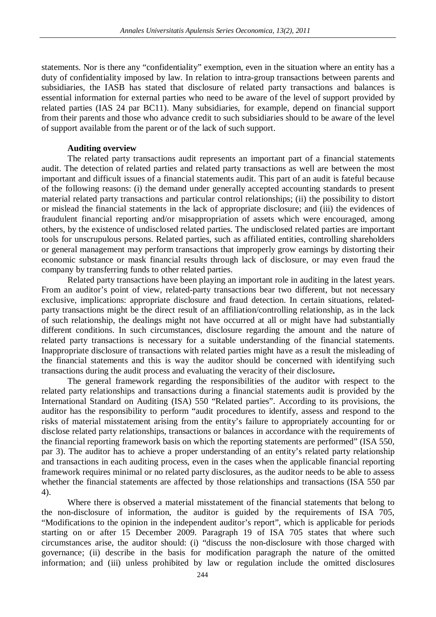statements. Nor is there any "confidentiality" exemption, even in the situation where an entity has a duty of confidentiality imposed by law. In relation to intra-group transactions between parents and subsidiaries, the IASB has stated that disclosure of related party transactions and balances is essential information for external parties who need to be aware of the level of support provided by related parties (IAS 24 par BC11). Many subsidiaries, for example, depend on financial support from their parents and those who advance credit to such subsidiaries should to be aware of the level of support available from the parent or of the lack of such support.

# **Auditing overview**

The related party transactions audit represents an important part of a financial statements audit. The detection of related parties and related party transactions as well are between the most important and difficult issues of a financial statements audit. This part of an audit is fateful because of the following reasons: (i) the demand under generally accepted accounting standards to present material related party transactions and particular control relationships; (ii) the possibility to distort or mislead the financial statements in the lack of appropriate disclosure; and (iii) the evidences of fraudulent financial reporting and/or misappropriation of assets which were encouraged, among others, by the existence of undisclosed related parties. The undisclosed related parties are important tools for unscrupulous persons. Related parties, such as affiliated entities, controlling shareholders or general management may perform transactions that improperly grow earnings by distorting their economic substance or mask financial results through lack of disclosure, or may even fraud the company by transferring funds to other related parties.

Related party transactions have been playing an important role in auditing in the latest years. From an auditor's point of view, related-party transactions bear two different, but not necessary exclusive, implications: appropriate disclosure and fraud detection. In certain situations, relatedparty transactions might be the direct result of an affiliation/controlling relationship, as in the lack of such relationship, the dealings might not have occurred at all or might have had substantially different conditions. In such circumstances, disclosure regarding the amount and the nature of related party transactions is necessary for a suitable understanding of the financial statements. Inappropriate disclosure of transactions with related parties might have as a result the misleading of the financial statements and this is way the auditor should be concerned with identifying such transactions during the audit process and evaluating the veracity of their disclosure**.**

The general framework regarding the responsibilities of the auditor with respect to the related party relationships and transactions during a financial statements audit is provided by the International Standard on Auditing (ISA) 550 "Related parties". According to its provisions, the auditor has the responsibility to perform "audit procedures to identify, assess and respond to the risks of material misstatement arising from the entity's failure to appropriately accounting for or disclose related party relationships, transactions or balances in accordance with the requirements of the financial reporting framework basis on which the reporting statements are performed" (ISA 550, par 3). The auditor has to achieve a proper understanding of an entity's related party relationship and transactions in each auditing process, even in the cases when the applicable financial reporting framework requires minimal or no related party disclosures, as the auditor needs to be able to assess whether the financial statements are affected by those relationships and transactions (ISA 550 par 4).

Where there is observed a material misstatement of the financial statements that belong to the non-disclosure of information, the auditor is guided by the requirements of ISA 705, "Modifications to the opinion in the independent auditor's report", which is applicable for periods starting on or after 15 December 2009. Paragraph 19 of ISA 705 states that where such circumstances arise, the auditor should: (i) "discuss the non-disclosure with those charged with governance; (ii) describe in the basis for modification paragraph the nature of the omitted information; and (iii) unless prohibited by law or regulation include the omitted disclosures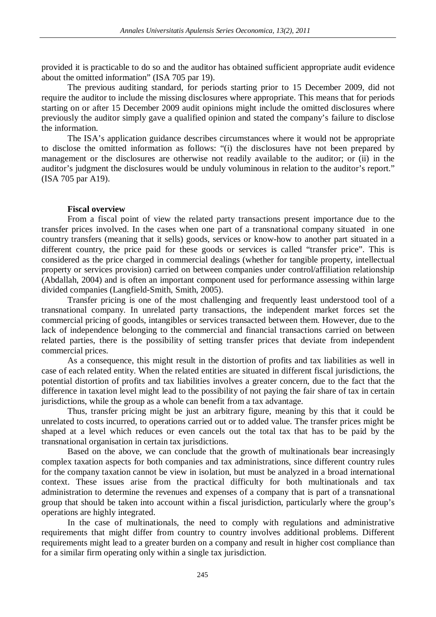provided it is practicable to do so and the auditor has obtained sufficient appropriate audit evidence about the omitted information" (ISA 705 par 19).

The previous auditing standard, for periods starting prior to 15 December 2009, did not require the auditor to include the missing disclosures where appropriate. This means that for periods starting on or after 15 December 2009 audit opinions might include the omitted disclosures where previously the auditor simply gave a qualified opinion and stated the company's failure to disclose the information.

The ISA's application guidance describes circumstances where it would not be appropriate to disclose the omitted information as follows: "(i) the disclosures have not been prepared by management or the disclosures are otherwise not readily available to the auditor; or (ii) in the auditor's judgment the disclosures would be unduly voluminous in relation to the auditor's report." (ISA 705 par A19).

## **Fiscal overview**

From a fiscal point of view the related party transactions present importance due to the transfer prices involved. In the cases when one part of a transnational company situated in one country transfers (meaning that it sells) goods, services or know-how to another part situated in a different country, the price paid for these goods or services is called "transfer price". This is considered as the price charged in commercial dealings (whether for tangible property, intellectual property or services provision) carried on between companies under control/affiliation relationship (Abdallah, 2004) and is often an important component used for performance assessing within large divided companies (Langfield-Smith, Smith, 2005).

Transfer pricing is one of the most challenging and frequently least understood tool of a transnational company. In unrelated party transactions, the independent market forces set the commercial pricing of goods, intangibles or services transacted between them. However, due to the lack of independence belonging to the commercial and financial transactions carried on between related parties, there is the possibility of setting transfer prices that deviate from independent commercial prices.

As a consequence, this might result in the distortion of profits and tax liabilities as well in case of each related entity. When the related entities are situated in different fiscal jurisdictions, the potential distortion of profits and tax liabilities involves a greater concern, due to the fact that the difference in taxation level might lead to the possibility of not paying the fair share of tax in certain jurisdictions, while the group as a whole can benefit from a tax advantage.

Thus, transfer pricing might be just an arbitrary figure, meaning by this that it could be unrelated to costs incurred, to operations carried out or to added value. The transfer prices might be shaped at a level which reduces or even cancels out the total tax that has to be paid by the transnational organisation in certain tax jurisdictions.

Based on the above, we can conclude that the growth of multinationals bear increasingly complex taxation aspects for both companies and tax administrations, since different country rules for the company taxation cannot be view in isolation, but must be analyzed in a broad international context. These issues arise from the practical difficulty for both multinationals and tax administration to determine the revenues and expenses of a company that is part of a transnational group that should be taken into account within a fiscal jurisdiction, particularly where the group's operations are highly integrated.

In the case of multinationals, the need to comply with regulations and administrative requirements that might differ from country to country involves additional problems. Different requirements might lead to a greater burden on a company and result in higher cost compliance than for a similar firm operating only within a single tax jurisdiction.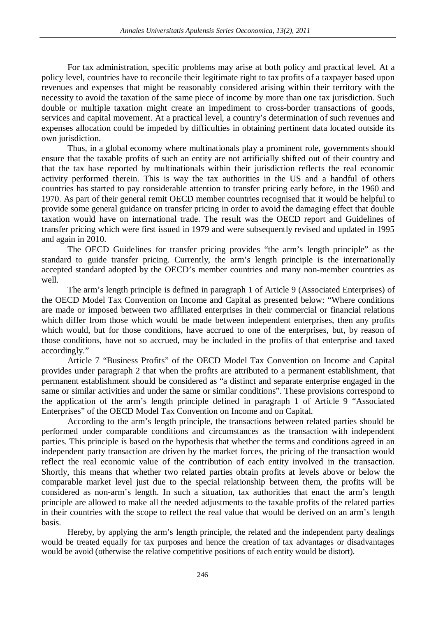For tax administration, specific problems may arise at both policy and practical level. At a policy level, countries have to reconcile their legitimate right to tax profits of a taxpayer based upon revenues and expenses that might be reasonably considered arising within their territory with the necessity to avoid the taxation of the same piece of income by more than one tax jurisdiction. Such double or multiple taxation might create an impediment to cross-border transactions of goods, services and capital movement. At a practical level, a country's determination of such revenues and expenses allocation could be impeded by difficulties in obtaining pertinent data located outside its own jurisdiction.

Thus, in a global economy where multinationals play a prominent role, governments should ensure that the taxable profits of such an entity are not artificially shifted out of their country and that the tax base reported by multinationals within their jurisdiction reflects the real economic activity performed therein. This is way the tax authorities in the US and a handful of others countries has started to pay considerable attention to transfer pricing early before, in the 1960 and 1970. As part of their general remit OECD member countries recognised that it would be helpful to provide some general guidance on transfer pricing in order to avoid the damaging effect that double taxation would have on international trade. The result was the OECD report and Guidelines of transfer pricing which were first issued in 1979 and were subsequently revised and updated in 1995 and again in 2010.

The OECD Guidelines for transfer pricing provides "the arm's length principle" as the standard to guide transfer pricing. Currently, the arm's length principle is the internationally accepted standard adopted by the OECD's member countries and many non-member countries as well.

The arm's length principle is defined in paragraph 1 of Article 9 (Associated Enterprises) of the OECD Model Tax Convention on Income and Capital as presented below: "Where conditions are made or imposed between two affiliated enterprises in their commercial or financial relations which differ from those which would be made between independent enterprises, then any profits which would, but for those conditions, have accrued to one of the enterprises, but, by reason of those conditions, have not so accrued, may be included in the profits of that enterprise and taxed accordingly."

Article 7 "Business Profits" of the OECD Model Tax Convention on Income and Capital provides under paragraph 2 that when the profits are attributed to a permanent establishment, that permanent establishment should be considered as "a distinct and separate enterprise engaged in the same or similar activities and under the same or similar conditions". These provisions correspond to the application of the arm's length principle defined in paragraph 1 of Article 9 "Associated Enterprises" of the OECD Model Tax Convention on Income and on Capital.

According to the arm's length principle, the transactions between related parties should be performed under comparable conditions and circumstances as the transaction with independent parties. This principle is based on the hypothesis that whether the terms and conditions agreed in an independent party transaction are driven by the market forces, the pricing of the transaction would reflect the real economic value of the contribution of each entity involved in the transaction. Shortly, this means that whether two related parties obtain profits at levels above or below the comparable market level just due to the special relationship between them, the profits will be considered as non-arm's length. In such a situation, tax authorities that enact the arm's length principle are allowed to make all the needed adjustments to the taxable profits of the related parties in their countries with the scope to reflect the real value that would be derived on an arm's length basis.

Hereby, by applying the arm's length principle, the related and the independent party dealings would be treated equally for tax purposes and hence the creation of tax advantages or disadvantages would be avoid (otherwise the relative competitive positions of each entity would be distort).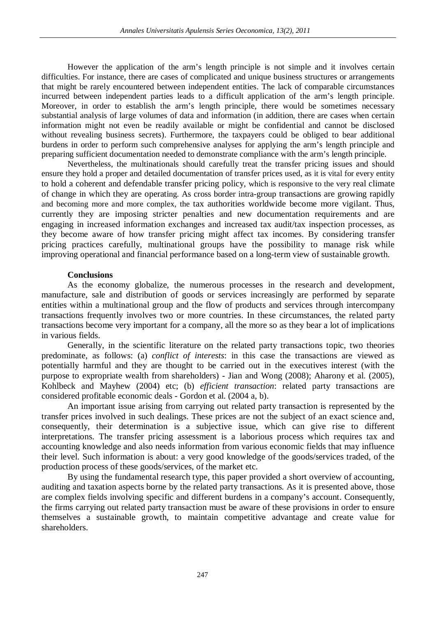However the application of the arm's length principle is not simple and it involves certain difficulties. For instance, there are cases of complicated and unique business structures or arrangements that might be rarely encountered between independent entities. The lack of comparable circumstances incurred between independent parties leads to a difficult application of the arm's length principle. Moreover, in order to establish the arm's length principle, there would be sometimes necessary substantial analysis of large volumes of data and information (in addition, there are cases when certain information might not even be readily available or might be confidential and cannot be disclosed without revealing business secrets). Furthermore, the taxpayers could be obliged to bear additional burdens in order to perform such comprehensive analyses for applying the arm's length principle and preparing sufficient documentation needed to demonstrate compliance with the arm's length principle.

Nevertheless, the multinationals should carefully treat the transfer pricing issues and should ensure they hold a proper and detailed documentation of transfer prices used, as it is vital for every entity to hold a coherent and defendable transfer pricing policy, which is responsive to the very real climate of change in which they are operating. As cross border intra-group transactions are growing rapidly and becoming more and more complex, the tax authorities worldwide become more vigilant. Thus, currently they are imposing stricter penalties and new documentation requirements and are engaging in increased information exchanges and increased tax audit/tax inspection processes, as they become aware of how transfer pricing might affect tax incomes. By considering transfer pricing practices carefully, multinational groups have the possibility to manage risk while improving operational and financial performance based on a long-term view of sustainable growth.

# **Conclusions**

As the economy globalize, the numerous processes in the research and development, manufacture, sale and distribution of goods or services increasingly are performed by separate entities within a multinational group and the flow of products and services through intercompany transactions frequently involves two or more countries. In these circumstances, the related party transactions become very important for a company, all the more so as they bear a lot of implications in various fields.

Generally, in the scientific literature on the related party transactions topic, two theories predominate, as follows: (a) *conflict of interests*: in this case the transactions are viewed as potentially harmful and they are thought to be carried out in the executives interest (with the purpose to expropriate wealth from shareholders) - Jian and Wong (2008); Aharony et al. (2005), Kohlbeck and Mayhew (2004) etc; (b) *efficient transaction*: related party transactions are considered profitable economic deals - Gordon et al. (2004 a, b).

An important issue arising from carrying out related party transaction is represented by the transfer prices involved in such dealings. These prices are not the subject of an exact science and, consequently, their determination is a subjective issue, which can give rise to different interpretations. The transfer pricing assessment is a laborious process which requires tax and accounting knowledge and also needs information from various economic fields that may influence their level. Such information is about: a very good knowledge of the goods/services traded, of the production process of these goods/services, of the market etc.

By using the fundamental research type, this paper provided a short overview of accounting, auditing and taxation aspects borne by the related party transactions. As it is presented above, those are complex fields involving specific and different burdens in a company's account. Consequently, the firms carrying out related party transaction must be aware of these provisions in order to ensure themselves a sustainable growth, to maintain competitive advantage and create value for shareholders.